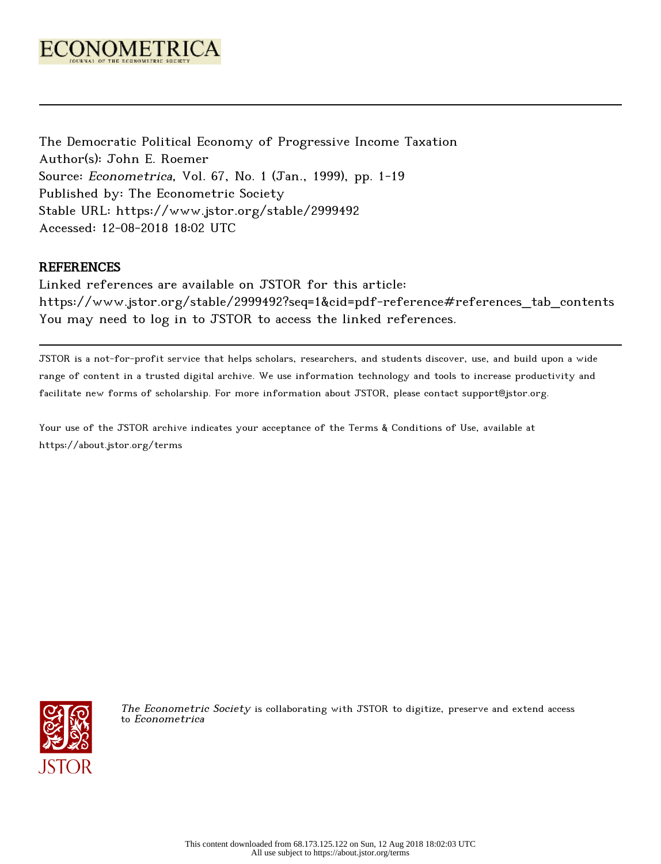

The Democratic Political Economy of Progressive Income Taxation Author(s): John E. Roemer Source: Econometrica, Vol. 67, No. 1 (Jan., 1999), pp. 1-19 Published by: The Econometric Society Stable URL: https://www.jstor.org/stable/2999492 Accessed: 12-08-2018 18:02 UTC

# REFERENCES

Linked references are available on JSTOR for this article: https://www.jstor.org/stable/2999492?seq=1&cid=pdf-reference#references\_tab\_contents You may need to log in to JSTOR to access the linked references.

JSTOR is a not-for-profit service that helps scholars, researchers, and students discover, use, and build upon a wide range of content in a trusted digital archive. We use information technology and tools to increase productivity and facilitate new forms of scholarship. For more information about JSTOR, please contact support@jstor.org.

Your use of the JSTOR archive indicates your acceptance of the Terms & Conditions of Use, available at https://about.jstor.org/terms



The Econometric Society is collaborating with JSTOR to digitize, preserve and extend access to Econometrica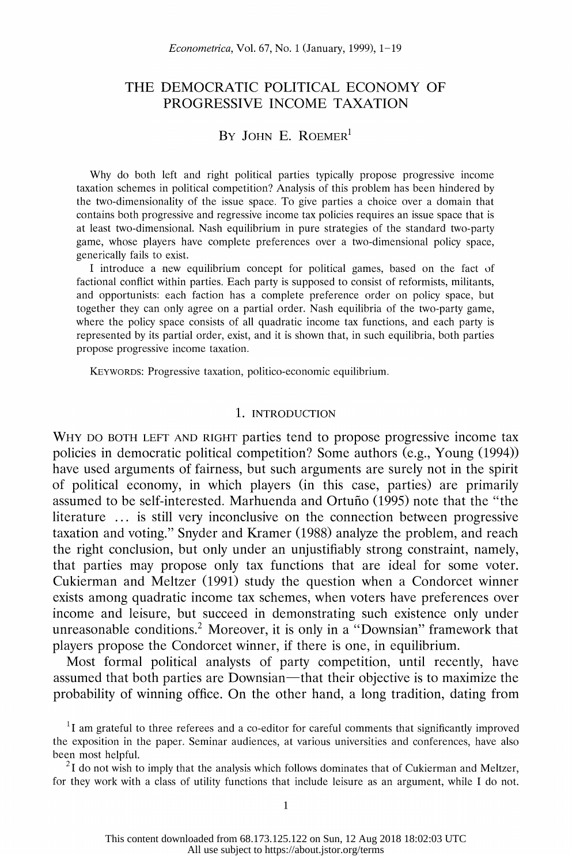# THE DEMOCRATIC POLITICAL ECONOMY OF PROGRESSIVE INCOME TAXATION

# BY JOHN E. ROEMER<sup>1</sup>

 Why do both left and right political parties typically propose progressive income taxation schemes in political competition? Analysis of this problem has been hindered by the two-dimensionality of the issue space. To give parties a choice over a domain that contains both progressive and regressive income tax policies requires an issue space that is at least two-dimensional. Nash equilibrium in pure strategies of the standard two-party game, whose players have complete preferences over a two-dimensional policy space, generically fails to exist.

 I introduce a new equilibrium concept for political games, based on the fact of factional conflict within parties. Each party is supposed to consist of reformists, militants, and opportunists: each faction has a complete preference order on policy space, but together they can only agree on a partial order. Nash equilibria of the two-party game, where the policy space consists of all quadratic income tax functions, and each party is represented by its partial order, exist, and it is shown that, in such equilibria, both parties propose progressive income taxation.

KEYWORDS: Progressive taxation, politico-economic equilibrium.

### 1. INTRODUCTION

 WHY DO BOTH LEFT AND RIGHT parties tend to propose progressive income tax policies in democratic political competition? Some authors (e.g., Young (1994)) have used arguments of fairness, but such arguments are surely not in the spirit of political economy, in which players (in this case, parties) are primarily assumed to be self-interested. Marhuenda and Ortufio (1995) note that the "the literature ... is still very inconclusive on the connection between progressive taxation and voting." Snyder and Kramer (1988) analyze the problem, and reach the right conclusion, but only under an unjustifiably strong constraint, namely, that parties may propose only tax functions that are ideal for some voter. Cukierman and Meltzer (1991) study the question when a Condorcet winner exists among quadratic income tax schemes, when voters have preferences over income and leisure, but succeed in demonstrating such existence only under unreasonable conditions.<sup>2</sup> Moreover, it is only in a "Downsian" framework that players propose the Condorcet winner, if there is one, in equilibrium.

 Most formal political analysts of party competition, until recently, have assumed that both parties are Downsian—that their objective is to maximize the probability of winning office. On the other hand, a long tradition, dating from

 $2I$  do not wish to imply that the analysis which follows dominates that of Cukierman and Meltzer, for they work with a class of utility functions that include leisure as an argument, while I do not.

 ${}^{1}I$  am grateful to three referees and a co-editor for careful comments that significantly improved the exposition in the paper. Seminar audiences, at various universities and conferences, have also been most helpful.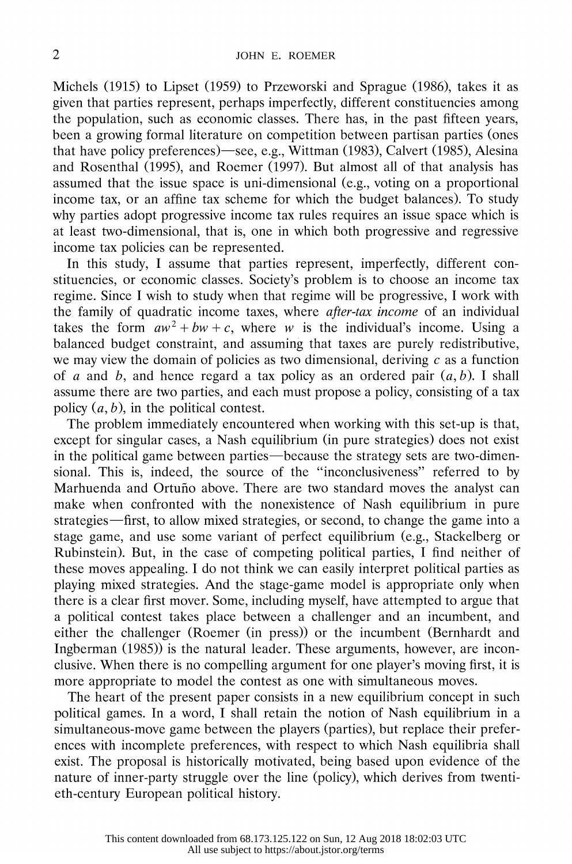Michels (1915) to Lipset (1959) to Przeworski and Sprague (1986), takes it as given that parties represent, perhaps imperfectly, different constituencies among the population, such as economic classes. There has, in the past fifteen years, been a growing formal literature on competition between partisan parties (ones that have policy preferences)—see, e.g., Wittman (1983), Calvert (1985), Alesina and Rosenthal (1995), and Roemer (1997). But almost all of that analysis has assumed that the issue space is uni-dimensional (e.g., voting on a proportional income tax, or an affine tax scheme for which the budget balances). To study why parties adopt progressive income tax rules requires an issue space which is at least two-dimensional, that is, one in which both progressive and regressive income tax policies can be represented.

 In this study, I assume that parties represent, imperfectly, different con stituencies, or economic classes. Society's problem is to choose an income tax regime. Since I wish to study when that regime will be progressive, I work with the family of quadratic income taxes, where *after-tax income* of an individual takes the form  $aw^2 + bw + c$ , where w is the individual's income. Using a balanced budget constraint, and assuming that taxes are purely redistributive, we may view the domain of policies as two dimensional, deriving  $c$  as a function of a and b, and hence regard a tax policy as an ordered pair  $(a, b)$ . I shall assume there are two parties, and each must propose a policy, consisting of a tax policy  $(a, b)$ , in the political contest.

 The problem immediately encountered when working with this set-up is that, except for singular cases, a Nash equilibrium (in pure strategies) does not exist in the political game between parties—because the strategy sets are two-dimen sional. This is, indeed, the source of the "inconclusiveness" referred to by Marhuenda and Ortuño above. There are two standard moves the analyst can make when confronted with the nonexistence of Nash equilibrium in pure strategies—first, to allow mixed strategies, or second, to change the game into a stage game, and use some variant of perfect equilibrium (e.g., Stackelberg or Rubinstein). But, in the case of competing political parties, I find neither of these moves appealing. I do not think we can easily interpret political parties as playing mixed strategies. And the stage-game model is appropriate only when there is a clear first mover. Some, including myself, have attempted to argue that a political contest takes place between a challenger and an incumbent, and either the challenger (Roemer (in press)) or the incumbent (Bernhardt and Ingberman (1985)) is the natural leader. These arguments, however, are incon clusive. When there is no compelling argument for one player's moving first, it is more appropriate to model the contest as one with simultaneous moves.

 The heart of the present paper consists in a new equilibrium concept in such political games. In a word, I shall retain the notion of Nash equilibrium in a simultaneous-move game between the players (parties), but replace their prefer ences with incomplete preferences, with respect to which Nash equilibria shall exist. The proposal is historically motivated, being based upon evidence of the nature of inner-party struggle over the line (policy), which derives from twenti eth-century European political history.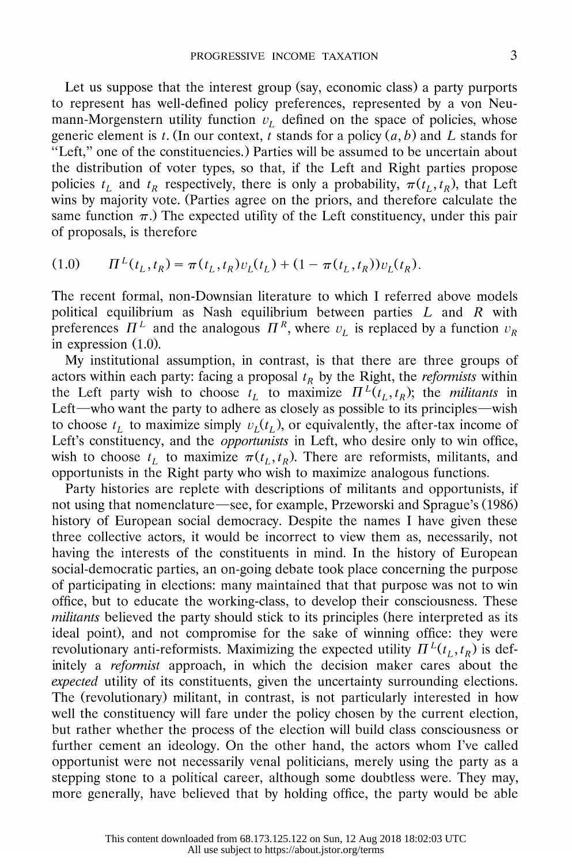Let us suppose that the interest group (say, economic class) a party purports to represent has well-defined policy preferences, represented by a von Neu mann-Morgenstern utility function  $v<sub>L</sub>$  defined on the space of policies, whose generic element is t. (In our context, t stands for a policy  $(a, b)$  and L stands for "Left," one of the constituencies.) Parties will be assumed to be uncertain about the distribution of voter types, so that, if the Left and Right parties propose policies  $t_L$  and  $t_R$  respectively, there is only a probability,  $\pi(t_L, t_R)$ , that Left wins by majority vote. (Parties agree on the priors, and therefore calculate the same function  $\pi$ .) The expected utility of the Left constituency, under this pair of proposals, is therefore

$$
(1.0) \t \t \Pi^{L}(t_{L}, t_{R}) = \pi(t_{L}, t_{R})v_{L}(t_{L}) + (1 - \pi(t_{L}, t_{R}))v_{L}(t_{R}).
$$

 The recent formal, non-Downsian literature to which I referred above models political equilibrium as Nash equilibrium between parties  $L$  and  $R$  with preferences  $\Pi^L$  and the analogous  $\Pi^R$ , where  $v_L$  is replaced by a function  $v_R$ in expression (1.0).

 My institutional assumption, in contrast, is that there are three groups of actors within each party: facing a proposal  $t_R$  by the Right, the *reformists* within the Left party wish to choose  $t<sub>L</sub>$  to maximize  $\Pi<sup>L</sup>(t<sub>L</sub>,t<sub>R</sub>)$ ; the *militants* in Left-who want the party to adhere as closely as possible to its principles-wish to choose  $t<sub>L</sub>$  to maximize simply  $v<sub>L</sub>(t<sub>L</sub>)$ , or equivalently, the after-tax income of Left's constituency, and the *opportunists* in Left, who desire only to win office, wish to choose  $t<sub>L</sub>$  to maximize  $\pi(t_L, t_R)$ . There are reformists, militants, and opportunists in the Right party who wish to maximize analogous functions.

 Party histories are replete with descriptions of militants and opportunists, if not using that nomenclature—see, for example, Przeworski and Sprague's (1986) history of European social democracy. Despite the names I have given these three collective actors, it would be incorrect to view them as, necessarily, not having the interests of the constituents in mind. In the history of European social-democratic parties, an on-going debate took place concerning the purpose of participating in elections: many maintained that that purpose was not to win office, but to educate the working-class, to develop their consciousness. These militants believed the party should stick to its principles (here interpreted as its ideal point), and not compromise for the sake of winning office: they were revolutionary anti-reformists. Maximizing the expected utility  $\Pi^L(t_L, t_R)$  is def initely a reformist approach, in which the decision maker cares about the expected utility of its constituents, given the uncertainty surrounding elections. The (revolutionary) militant, in contrast, is not particularly interested in how well the constituency will fare under the policy chosen by the current election, but rather whether the process of the election will build class consciousness or further cement an ideology. On the other hand, the actors whom I've called opportunist were not necessarily venal politicians, merely using the party as a stepping stone to a political career, although some doubtless were. They may, more generally, have believed that by holding office, the party would be able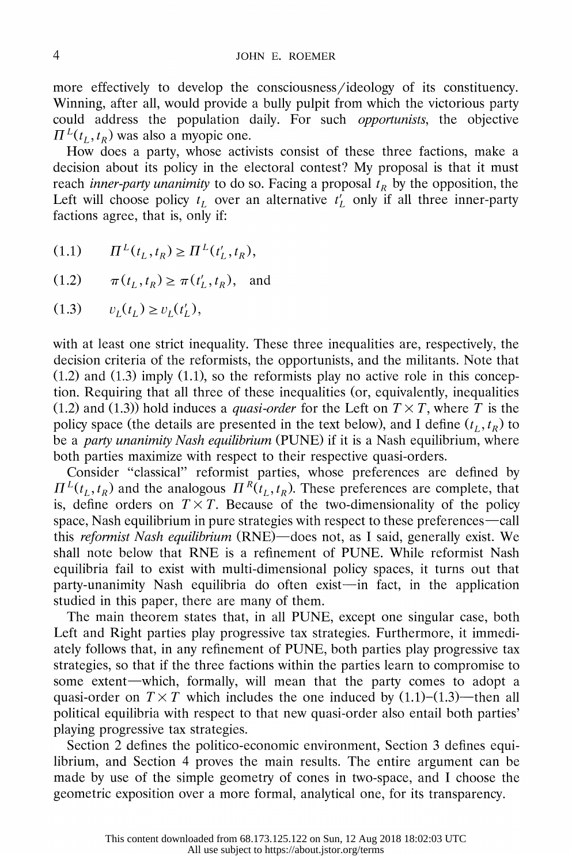more effectively to develop the consciousness/ideology of its constituency. Winning, after all, would provide a bully pulpit from which the victorious party could address the population daily. For such opportunists, the objective  $\Pi^{L}(t_{I}, t_{R})$  was also a myopic one.

 How does a party, whose activists consist of these three factions, make a decision about its policy in the electoral contest? My proposal is that it must reach *inner-party unanimity* to do so. Facing a proposal  $t_R$  by the opposition, the Left will choose policy  $t_L$  over an alternative  $t'_L$  only if all three inner-party factions agree, that is, only if:

- $(1.1)$   $\Pi^{L}(t_{I},t_{R}) \geq \Pi^{L}(t_{I}',t_{R}),$
- $(1.2)$   $\pi(t_1, t_R) \geq \pi(t'_1, t_R)$ , and

$$
(1.3) \t v_L(t_L) \ge v_L(t'_L),
$$

 with at least one strict inequality. These three inequalities are, respectively, the decision criteria of the reformists, the opportunists, and the militants. Note that  $(1.2)$  and  $(1.3)$  imply  $(1.1)$ , so the reformists play no active role in this concep tion. Requiring that all three of these inequalities (or, equivalently, inequalities (1.2) and (1.3)) hold induces a *quasi-order* for the Left on  $T \times T$ , where T is the policy space (the details are presented in the text below), and I define  $(t_L, t_R)$  to be a *party unanimity Nash equilibrium* (PUNE) if it is a Nash equilibrium, where both parties maximize with respect to their respective quasi-orders.

 Consider "classical" reformist parties, whose preferences are defined by  $\Pi^{L}(t_{L}, t_{R})$  and the analogous  $\Pi^{R}(t_{L}, t_{R})$ . These preferences are complete, that is, define orders on  $T \times T$ . Because of the two-dimensionality of the policy space, Nash equilibrium in pure strategies with respect to these preferences—call this reformist Nash equilibrium (RNE)—does not, as I said, generally exist. We shall note below that RNE is a refinement of PUNE. While reformist Nash equilibria fail to exist with multi-dimensional policy spaces, it turns out that party-unanimity Nash equilibria do often exist—in fact, in the application studied in this paper, there are many of them.

 The main theorem states that, in all PUNE, except one singular case, both Left and Right parties play progressive tax strategies. Furthermore, it immedi ately follows that, in any refinement of PUNE, both parties play progressive tax strategies, so that if the three factions within the parties learn to compromise to some extent—which, formally, will mean that the party comes to adopt a quasi-order on  $T \times T$  which includes the one induced by (1.1)-(1.3)-then all political equilibria with respect to that new quasi-order also entail both parties' playing progressive tax strategies.

 Section 2 defines the politico-economic environment, Section 3 defines equi librium, and Section 4 proves the main results. The entire argument can be made by use of the simple geometry of cones in two-space, and I choose the geometric exposition over a more formal, analytical one, for its transparency.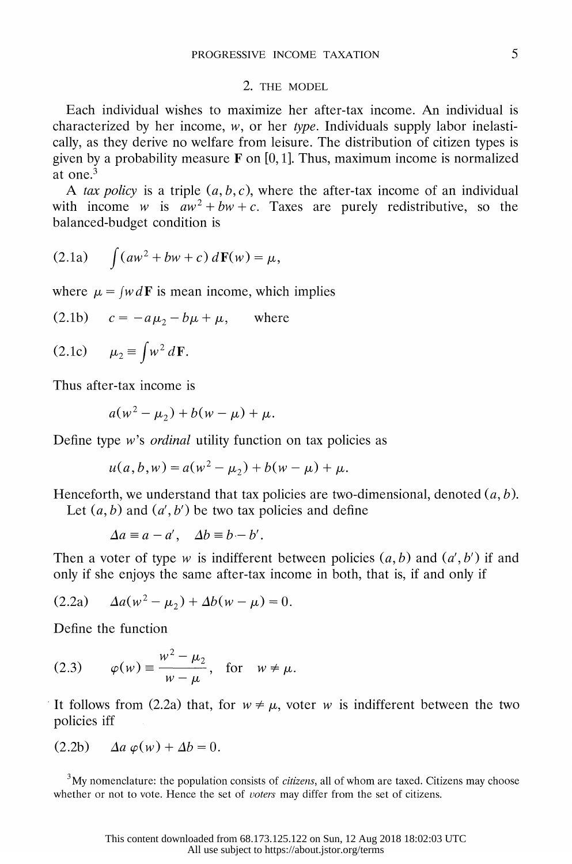### 2. THE MODEL

 Each individual wishes to maximize her after-tax income. An individual is characterized by her income,  $w$ , or her type. Individuals supply labor inelasti cally, as they derive no welfare from leisure. The distribution of citizen types is given by a probability measure  $\bf{F}$  on [0, 1]. Thus, maximum income is normalized at one.3

A tax policy is a triple  $(a, b, c)$ , where the after-tax income of an individual with income w is  $aw^2 + bw + c$ . Taxes are purely redistributive, so the balanced-budget condition is

$$
(2.1a) \qquad \int (aw^2 + bw + c) \, d\mathbf{F}(w) = \mu,
$$

where  $\mu = \int w dF$  is mean income, which implies

$$
(2.1b) \t c = -a\mu_2 - b\mu + \mu, \t where
$$

$$
(2.1c) \qquad \mu_2 \equiv \int w^2 d\mathbf{F}.
$$

Thus after-tax income is

$$
a(w^2 - \mu_2) + b(w - \mu) + \mu.
$$

Define type  $w$ 's *ordinal* utility function on tax policies as

$$
u(a, b, w) = a(w2 - \mu2) + b(w - \mu) + \mu.
$$

Henceforth, we understand that tax policies are two-dimensional, denoted  $(a, b)$ .

Let  $(a, b)$  and  $(a', b')$  be two tax policies and define

$$
\Delta a \equiv a - a', \quad \Delta b \equiv b - b'.
$$

Then a voter of type w is indifferent between policies  $(a, b)$  and  $(a', b')$  if and only if she enjoys the same after-tax income in both, that is, if and only if

$$
(2.2a) \t\t  $\Delta a(w^2 - \mu_2) + \Delta b(w - \mu) = 0.$
$$

Define the function

(2.3) 
$$
\varphi(w) \equiv \frac{w^2 - \mu_2}{w - \mu}, \text{ for } w \neq \mu.
$$

It follows from (2.2a) that, for  $w \neq \mu$ , voter w is indifferent between the two policies iff

$$
(2.2b) \quad \Delta a \varphi(w) + \Delta b = 0.
$$

 $3\text{My}\xspace$  nomenclature: the population consists of *citizens*, all of whom are taxed. Citizens may choose whether or not to vote. Hence the set of voters may differ from the set of citizens.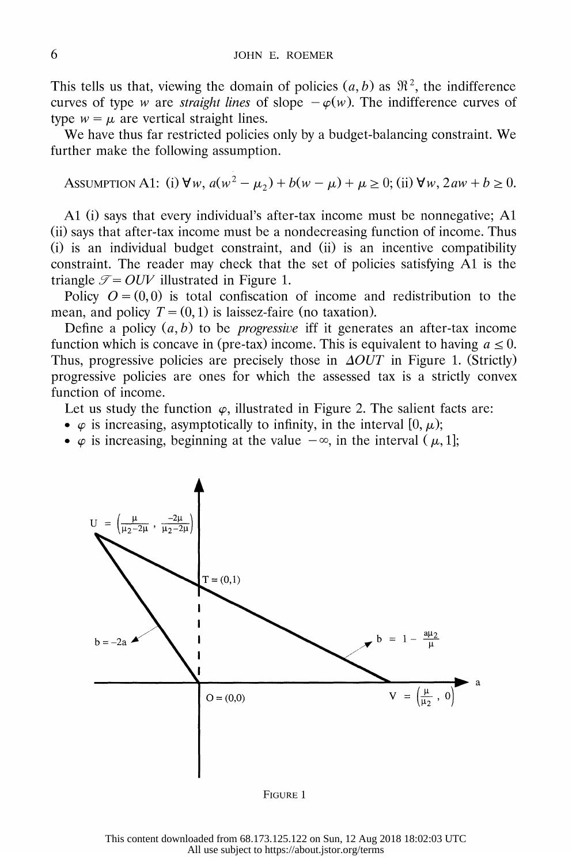This tells us that, viewing the domain of policies  $(a, b)$  as  $\mathfrak{R}^2$ , the indifference curves of type w are *straight lines* of slope  $-\varphi(w)$ . The indifference curves of type  $w = \mu$  are vertical straight lines.

We have thus far restricted policies only by a budget-balancing constraint. We further make the following assumption.

ASSUMPTION A1: (i)  $\forall w, a(w^2 - \mu_2) + b(w - \mu) + \mu \ge 0$ ; (ii)  $\forall w, 2aw + b \ge 0$ .

 Al (i) says that every individual's after-tax income must be nonnegative; Al (ii) says that after-tax income must be a nondecreasing function of income. Thus (i) is an individual budget constraint, and (ii) is an incentive compatibility constraint. The reader may check that the set of policies satisfying Al is the triangle  $\mathcal{T} = OUV$  illustrated in Figure 1.

Policy  $Q = (0,0)$  is total confiscation of income and redistribution to the mean, and policy  $T = (0, 1)$  is laissez-faire (no taxation).

Define a policy  $(a, b)$  to be *progressive* iff it generates an after-tax income function which is concave in (pre-tax) income. This is equivalent to having  $a \le 0$ . Thus, progressive policies are precisely those in  $\Delta OUT$  in Figure 1. (Strictly) progressive policies are ones for which the assessed tax is a strictly convex function of income.

Let us study the function  $\varphi$ , illustrated in Figure 2. The salient facts are:

- $\varphi$  is increasing, asymptotically to infinity, in the interval [0,  $\mu$ );
- $\varphi$  is increasing, beginning at the value  $-\infty$ , in the interval ( $\mu$ , 1];



FIGURE 1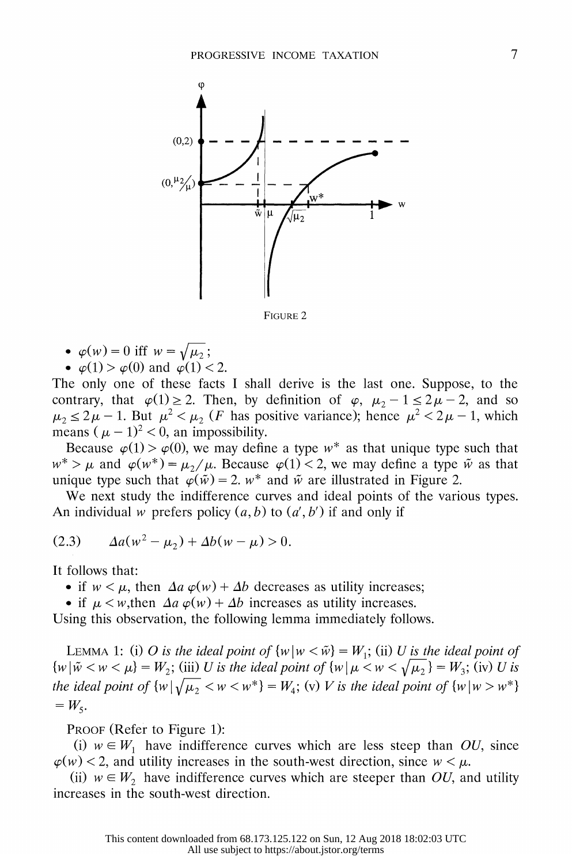

FIGURE 2

• 
$$
\varphi(w) = 0
$$
 iff  $w = \sqrt{\mu_2}$ ;

•  $\varphi(1) > \varphi(0)$  and  $\varphi(1) < 2$ .

 The only one of these facts I shall derive is the last one. Suppose, to the contrary, that  $\varphi(1) \geq 2$ . Then, by definition of  $\varphi$ ,  $\mu_2 - 1 \leq 2\mu - 2$ , and so  $\mu_2 \leq 2\mu - 1$ . But  $\mu^2 < \mu_2$  (*F* has positive variance); hence  $\mu^2 < 2\mu - 1$ , which means ( $\mu - 1$ )<sup>2</sup> < 0, an impossibility.

Because  $\varphi(1) > \varphi(0)$ , we may define a type w\* as that unique type such that  $w^* > \mu$  and  $\varphi(w^*) = \mu_2/\mu$ . Because  $\varphi(1) < 2$ , we may define a type  $\tilde{w}$  as that unique type such that  $\varphi(\tilde{w}) = 2$ .  $w^*$  and  $\tilde{w}$  are illustrated in Figure 2.

 We next study the indifference curves and ideal points of the various types. An individual w prefers policy  $(a, b)$  to  $(a', b')$  if and only if

(2.3) 
$$
\Delta a(w^2 - \mu_2) + \Delta b(w - \mu) > 0.
$$

It follows that:

- if  $w < \mu$ , then  $\Delta a \varphi(w) + \Delta b$  decreases as utility increases;
- if  $\mu < w$ , then  $\Delta a \varphi(w) + \Delta b$  increases as utility increases.

Using this observation, the following lemma immediately follows.

LEMMA 1: (i) O is the ideal point of  $\{w \mid w \leq \tilde{w}\} = W_1$ ; (ii) U is the ideal point of  ${w \mid \tilde{w} < w < \mu} = W_2$ ; (iii) U is the ideal point of  ${w \mid \mu < w < \sqrt{\mu_2}} = W_3$ ; (iv) U is the ideal point of  $\{w \mid \sqrt{\mu_2} \lt w \lt w^*\} = W_4$ ; (v) V is the ideal point of  $\{w \mid w > w^*\}$  $=W_5.$ 

PROOF (Refer to Figure 1):

(i)  $w \in W_1$  have indifference curves which are less steep than OU, since  $\varphi(w)$  < 2, and utility increases in the south-west direction, since  $w < \mu$ .

(ii)  $w \in W_2$  have indifference curves which are steeper than OU, and utility increases in the south-west direction.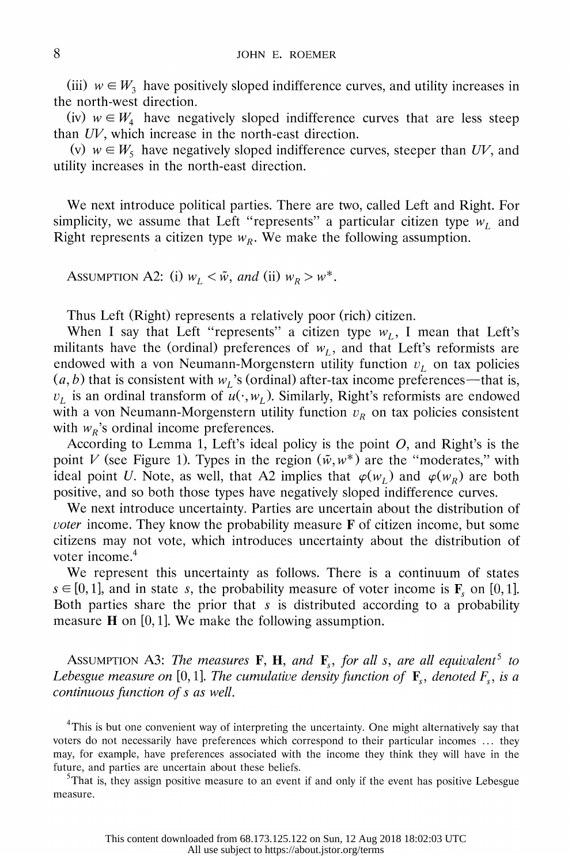(iii)  $w \in W_3$  have positively sloped indifference curves, and utility increases in the north-west direction.

(iv)  $w \in W_4$  have negatively sloped indifference curves that are less steep than UV, which increase in the north-east direction.

(v)  $w \in W_5$  have negatively sloped indifference curves, steeper than UV, and utility increases in the north-east direction.

 We next introduce political parties. There are two, called Left and Right. For simplicity, we assume that Left "represents" a particular citizen type  $w_L$  and Right represents a citizen type  $w_R$ . We make the following assumption.

ASSUMPTION A2: (i)  $w_L < \tilde{w}$ , and (ii)  $w_R > w^*$ .

Thus Left (Right) represents a relatively poor (rich) citizen.

When I say that Left "represents" a citizen type  $w_L$ , I mean that Left's militants have the (ordinal) preferences of  $w<sub>L</sub>$ , and that Left's reformists are endowed with a von Neumann-Morgenstern utility function  $v<sub>L</sub>$  on tax policies  $(a, b)$  that is consistent with  $w<sub>L</sub>$ 's (ordinal) after-tax income preferences—that is,  $v_L$  is an ordinal transform of  $\overline{u}(\cdot, w_L)$ . Similarly, Right's reformists are endowed with a von Neumann-Morgenstern utility function  $v_R$  on tax policies consistent with  $w_R$ 's ordinal income preferences.

According to Lemma 1, Left's ideal policy is the point  $O$ , and Right's is the point V (see Figure 1). Types in the region  $(\tilde{w}, w^*)$  are the "moderates," with ideal point U. Note, as well, that A2 implies that  $\varphi(w_l)$  and  $\varphi(w_R)$  are both positive, and so both those types have negatively sloped indifference curves.

 We next introduce uncertainty. Parties are uncertain about the distribution of *voter* income. They know the probability measure  $\bf{F}$  of citizen income, but some citizens may not vote, which introduces uncertainty about the distribution of voter income.<sup>4</sup>

 We represent this uncertainty as follows. There is a continuum of states  $s \in [0, 1]$ , and in state s, the probability measure of voter income is **F**<sub>s</sub> on [0, 1]. Both parties share the prior that s is distributed according to a probability measure  $H$  on [0, 1]. We make the following assumption.

ASSUMPTION A3: The measures F, H, and F<sub>s</sub>, for all s, are all equivalent<sup>5</sup> to Lebesgue measure on [0, 1]. The cumulative density function of  $\mathbf{F}_s$ , denoted  $F_s$ , is a continuous function of s as well.

<sup>5</sup>That is, they assign positive measure to an event if and only if the event has positive Lebesgue measure.

<sup>&</sup>lt;sup>4</sup>This is but one convenient way of interpreting the uncertainty. One might alternatively say that voters do not necessarily have preferences which correspond to their particular incomes ... they may, for example, have preferences associated with the income they think they will have in the future, and parties are uncertain about these beliefs.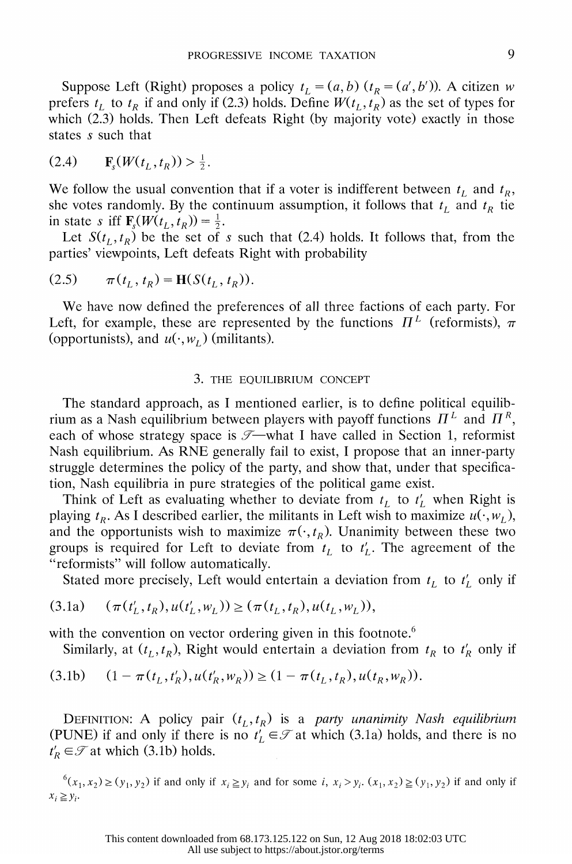Suppose Left (Right) proposes a policy  $t_L = (a, b)$  ( $t_R = (a', b')$ ). A citizen w prefers  $t_L$  to  $t_R$  if and only if (2.3) holds. Define  $W(t_L, t_R)$  as the set of types for which (2.3) holds. Then Left defeats Right (by majority vote) exactly in those states s such that

(.)Fs (W(tL, I 0) > 12

We follow the usual convention that if a voter is indifferent between  $t<sub>L</sub>$  and  $t<sub>R</sub>$ , she votes randomly. By the continuum assumption, it follows that  $t_L$  and  $t_R$  tie in state s iff  $\mathbf{F}_{s}(W(t_L, t_R)) = \frac{1}{2}$ .

Let  $S(t_1, t_R)$  be the set of s such that (2.4) holds. It follows that, from the parties' viewpoints, Left defeats Right with probability

(2.5) 
$$
\pi(t_L, t_R) = \mathbf{H}(S(t_L, t_R)).
$$

 We have now defined the preferences of all three factions of each party. For Left, for example, these are represented by the functions  $\Pi^L$  (reformists),  $\pi$ (opportunists), and  $u(\cdot, w)$  (militants).

#### 3. THE EQUILIBRIUM CONCEPT

 The standard approach, as I mentioned earlier, is to define political equilib rium as a Nash equilibrium between players with payoff functions  $\Pi^L$  and  $\Pi^R$ , each of whose strategy space is  $\mathcal{I}$ —what I have called in Section 1, reformist Nash equilibrium. As RNE generally fail to exist, I propose that an inner-party struggle determines the policy of the party, and show that, under that specifica tion, Nash equilibria in pure strategies of the political game exist.

Think of Left as evaluating whether to deviate from  $t_L$  to  $t_L$  when Right is playing  $t_R$ . As I described earlier, the militants in Left wish to maximize  $u(\cdot, w_L)$ , and the opportunists wish to maximize  $\pi(\cdot, t_R)$ . Unanimity between these two groups is required for Left to deviate from  $t<sub>L</sub>$  to  $t<sub>L</sub>$ . The agreement of the "reformists" will follow automatically.

Stated more precisely, Left would entertain a deviation from  $t_L$  to  $t'_L$  only if

$$
(3.1a) \quad (\pi(t'_L, t_R), u(t'_L, w_L)) \ge (\pi(t_L, t_R), u(t_L, w_L)),
$$

with the convention on vector ordering given in this footnote.<sup>6</sup>

Similarly, at  $(t_L, t_R)$ , Right would entertain a deviation from  $t_R$  to  $t_R$  only if

$$
(3.1b) \quad (1 - \pi(t_L, t_R'), u(t_R', w_R)) \ge (1 - \pi(t_L, t_R), u(t_R, w_R)).
$$

DEFINITION: A policy pair  $(t_L, t_R)$  is a party unanimity Nash equilibrium (PUNE) if and only if there is no  $t_L \in \mathcal{T}$  at which (3.1a) holds, and there is no  $t'_R \in \mathcal{T}$  at which (3.1b) holds.

 $^{6}(x_1,x_2)\geq(y_1,y_2)$  if and only if  $x_i\geq y_i$  and for some i,  $x_i>y_i$ .  $(x_1,x_2)\geq(y_1,y_2)$  if and only if  $x_i \geq y_i$ .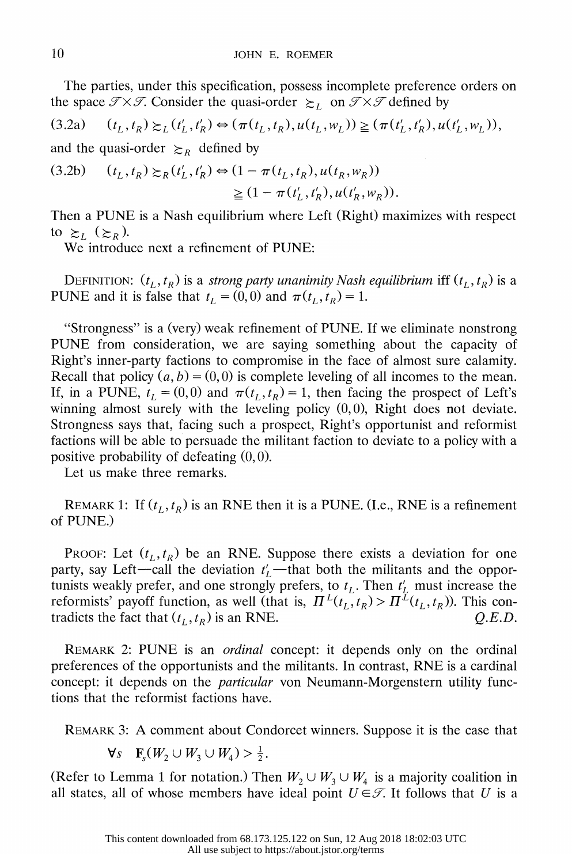The parties, under this specification, possess incomplete preference orders on the space  $\mathcal{T} \times \mathcal{T}$ . Consider the quasi-order  $\succeq_L$  on  $\mathcal{T} \times \mathcal{T}$  defined by

$$
(3.2a) \t(t_L, t_R) \succeq_L (t'_L, t'_R) \Leftrightarrow (\pi(t_L, t_R), u(t_L, w_L)) \geq (\pi(t'_L, t'_R), u(t'_L, w_L)),
$$

and the quasi-order  $\geq_R$  defined by

$$
(3.2b) \quad (t_L, t_R) \gtrsim_R (t'_L, t'_R) \Leftrightarrow (1 - \pi(t_L, t_R), u(t_R, w_R))
$$
  

$$
\geq (1 - \pi(t'_L, t'_R), u(t'_R, w_R)).
$$

 Then a PUNE is a Nash equilibrium where Left (Right) maximizes with respect to  $\geq_L$  ( $\geq_R$ ).

We introduce next a refinement of PUNE:

DEFINITION:  $(t_L, t_R)$  is a *strong party unanimity Nash equilibrium* iff  $(t_L, t_R)$  is a PUNE and it is false that  $t_L = (0, 0)$  and  $\pi(t_L, t_R) = 1$ .

 "Strongness" is a (very) weak refinement of PUNE. If we eliminate nonstrong PUNE from consideration, we are saying something about the capacity of Right's inner-party factions to compromise in the face of almost sure calamity. Recall that policy  $(a, b) = (0, 0)$  is complete leveling of all incomes to the mean. If, in a PUNE,  $t_L = (0,0)$  and  $\pi(t_L, t_R) = 1$ , then facing the prospect of Left's winning almost surely with the leveling policy  $(0,0)$ , Right does not deviate. Strongness says that, facing such a prospect, Right's opportunist and reformist factions will be able to persuade the militant faction to deviate to a policy with a positive probability of defeating  $(0, 0)$ .

Let us make three remarks.

REMARK 1: If  $(t_L, t_R)$  is an RNE then it is a PUNE. (I.e., RNE is a refinement of PUNE.)

PROOF: Let  $(t_L, t_R)$  be an RNE. Suppose there exists a deviation for one party, say Left-call the deviation  $t'_L$ -that both the militants and the opportunists weakly prefer, and one strongly prefers, to  $t_L$ . Then  $t'_L$  must increase the reformists' payoff function, as well (that is,  $\Pi^L(t_L, t_R) > \Pi^L(t_L, t_R)$ ). This contradicts the fact that  $(t_L, t_R)$  is an RNE.  $Q.E.D.$ 

 REMARK 2: PUNE is an ordinal concept: it depends only on the ordinal preferences of the opportunists and the militants. In contrast, RNE is a cardinal concept: it depends on the *particular* von Neumann-Morgenstern utility functions that the reformist factions have.

REMARK 3: A comment about Condorcet winners. Suppose it is the case that

 $\forall s \quad \mathbf{F}_{s}(W_2 \cup W_3 \cup W_4) > \frac{1}{2}.$ 

(Refer to Lemma 1 for notation.) Then  $W_2 \cup W_3 \cup W_4$  is a majority coalition in all states, all of whose members have ideal point  $U \in \mathcal{T}$ . It follows that U is a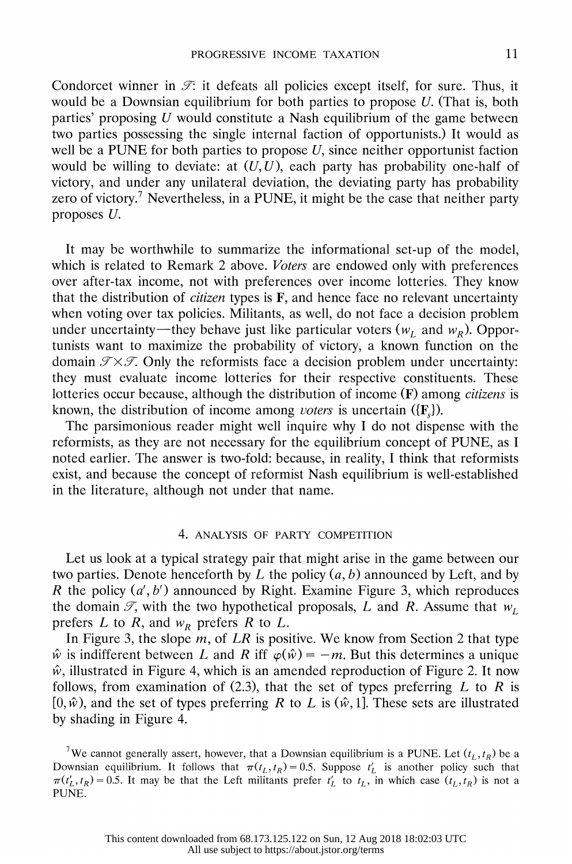Condorcet winner in  $\mathcal{F}$ : it defeats all policies except itself, for sure. Thus, it would be a Downsian equilibrium for both parties to propose  $U$ . (That is, both parties' proposing  $U$  would constitute a Nash equilibrium of the game between two parties possessing the single internal faction of opportunists.) It would as well be a PUNE for both parties to propose  $U$ , since neither opportunist faction would be willing to deviate: at  $(U, U)$ , each party has probability one-half of victory, and under any unilateral deviation, the deviating party has probability zero of victory.<sup>7</sup> Nevertheless, in a PUNE, it might be the case that neither party proposes U.

 It may be worthwhile to summarize the informational set-up of the model, which is related to Remark 2 above. Voters are endowed only with preferences over after-tax income, not with preferences over income lotteries. They know that the distribution of *citizen* types is  $F$ , and hence face no relevant uncertainty when voting over tax policies. Militants, as well, do not face a decision problem under uncertainty—they behave just like particular voters  $(w_L$  and  $w_R)$ . Oppor tunists want to maximize the probability of victory, a known function on the domain  $\mathcal{T} \times \mathcal{T}$ . Only the reformists face a decision problem under uncertainty: they must evaluate income lotteries for their respective constituents. These lotteries occur because, although the distribution of income (F) among *citizens* is known, the distribution of income among voters is uncertain  $({\bf{F}}_s)$ .

 The parsimonious reader might well inquire why I do not dispense with the reformists, as they are not necessary for the equilibrium concept of PUNE, as I noted earlier. The answer is two-fold: because, in reality, I think that reformists exist, and because the concept of reformist Nash equilibrium is well-established in the literature, although not under that name.

#### 4. ANALYSIS OF PARTY COMPETITION

 Let us look at a typical strategy pair that might arise in the game between our two parties. Denote henceforth by L the policy  $(a, b)$  announced by Left, and by R the policy  $(a', b')$  announced by Right. Examine Figure 3, which reproduces the domain  $\mathcal{T}$ , with the two hypothetical proposals, L and R. Assume that  $w_L$ prefers L to R, and  $w_R$  prefers R to L.

In Figure 3, the slope  $m$ , of LR is positive. We know from Section 2 that type  $\hat{w}$  is indifferent between L and R iff  $\varphi(\hat{w}) = -m$ . But this determines a unique  $\hat{w}$ , illustrated in Figure 4, which is an amended reproduction of Figure 2. It now follows, from examination of (2.3), that the set of types preferring  $L$  to  $R$  is  $[0, \hat{w})$ , and the set of types preferring R to L is  $(\hat{w}, 1]$ . These sets are illustrated by shading in Figure 4.

<sup>&</sup>lt;sup>7</sup>We cannot generally assert, however, that a Downsian equilibrium is a PUNE. Let  $(t_L, t_R)$  be a Downsian equilibrium. It follows that  $\pi(t_L, t_R) = 0.5$ . Suppose  $t'_L$  is another policy such that  $\pi(t'_L, t_R) = 0.5$ . It may be that the Left militants prefer  $t'_L$  to  $t_L$ , in which case  $(t_L, t_R)$  is not a PUNE.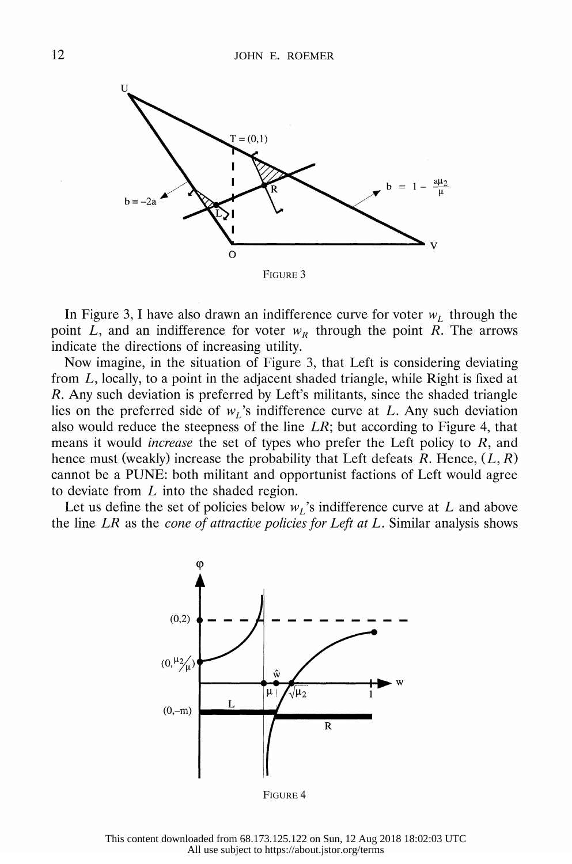

In Figure 3, I have also drawn an indifference curve for voter  $w_L$  through the point L, and an indifference for voter  $w_R$  through the point R. The arrows indicate the directions of increasing utility.

 Now imagine, in the situation of Figure 3, that Left is considering deviating from L, locally, to a point in the adjacent shaded triangle, while Right is fixed at R. Any such deviation is preferred by Left's militants, since the shaded triangle lies on the preferred side of  $w_L$ 's indifference curve at L. Any such deviation also would reduce the steepness of the line  $LR$ ; but according to Figure 4, that means it would *increase* the set of types who prefer the Left policy to  $R$ , and hence must (weakly) increase the probability that Left defeats  $R$ . Hence,  $(L, R)$  cannot be a PUNE: both militant and opportunist factions of Left would agree to deviate from  $L$  into the shaded region.

Let us define the set of policies below  $w<sub>L</sub>$ 's indifference curve at L and above the line  $LR$  as the *cone of attractive policies for Left at L*. Similar analysis shows



FIGURE 4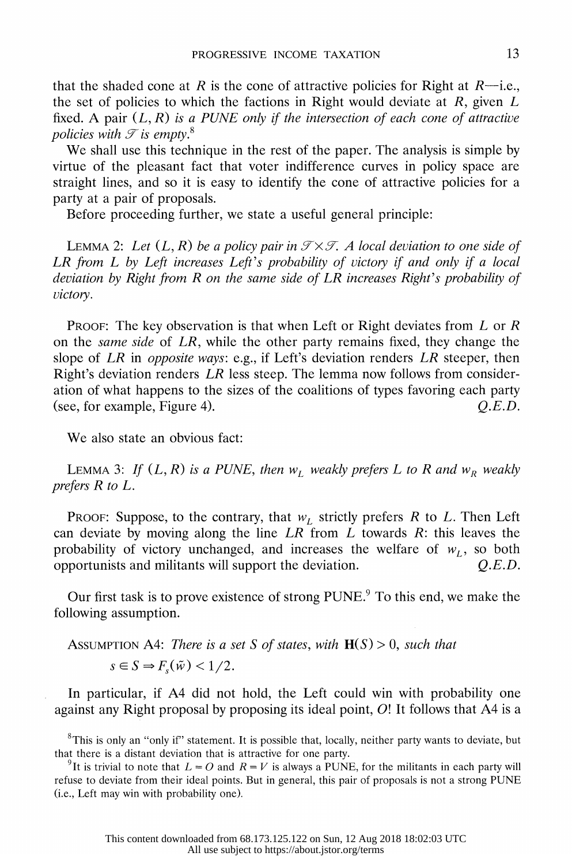that the shaded cone at R is the cone of attractive policies for Right at  $R$ —i.e., the set of policies to which the factions in Right would deviate at  $R$ , given  $L$ fixed. A pair  $(L, R)$  is a PUNE only if the intersection of each cone of attractive policies with  $\mathcal I$  is empty.<sup>8</sup>

 We shall use this technique in the rest of the paper. The analysis is simple by virtue of the pleasant fact that voter indifference curves in policy space are straight lines, and so it is easy to identify the cone of attractive policies for a party at a pair of proposals.

Before proceeding further, we state a useful general principle:

LEMMA 2: Let  $(L, R)$  be a policy pair in  $\mathcal{T} \times \mathcal{T}$ . A local deviation to one side of LR from L by Left increases Left's probability of victory if and only if a local deviation by Right from  $R$  on the same side of  $LR$  increases Right's probability of victory.

PROOF: The key observation is that when Left or Right deviates from  $L$  or  $R$  on the same side of LR, while the other party remains fixed, they change the slope of LR in *opposite ways*: e.g., if Left's deviation renders LR steeper, then Right's deviation renders LR less steep. The lemma now follows from consider ation of what happens to the sizes of the coalitions of types favoring each party (see, for example, Figure 4).  $Q.E.D.$ 

We also state an obvious fact:

LEMMA 3: If  $(L, R)$  is a PUNE, then  $w_L$  weakly prefers L to R and  $w_R$  weakly prefers R to L.

PROOF: Suppose, to the contrary, that  $w_L$  strictly prefers R to L. Then Left can deviate by moving along the line  $LR$  from  $L$  towards  $R$ : this leaves the probability of victory unchanged, and increases the welfare of  $w_L$ , so both opportunists and militants will support the deviation.  $Q.E.D.$ 

Our first task is to prove existence of strong PUNE.<sup>9</sup> To this end, we make the following assumption.

ASSUMPTION A4: There is a set S of states, with  $H(S) > 0$ , such that  $s \in S \Rightarrow F_{s}(\tilde{w}) < 1/2$ .

 In particular, if A4 did not hold, the Left could win with probability one against any Right proposal by proposing its ideal point, 0! It follows that A4 is a

<sup>8</sup>This is only an "only if" statement. It is possible that, locally, neither party wants to deviate, but that there is a distant deviation that is attractive for one party.

<sup>9</sup>It is trivial to note that  $L = O$  and  $R = V$  is always a PUNE, for the militants in each party will refuse to deviate from their ideal points. But in general, this pair of proposals is not a strong PUNE (i.e., Left may win with probability one).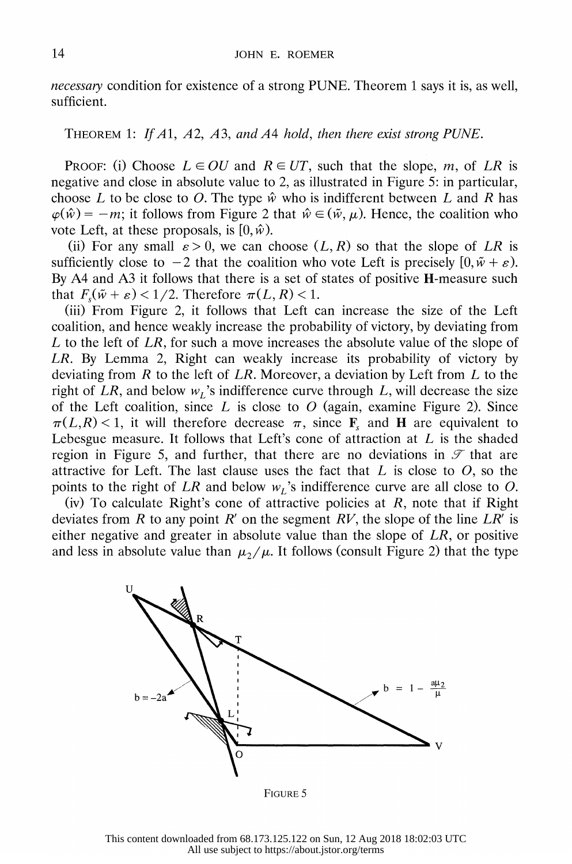necessary condition for existence of a strong PUNE. Theorem 1 says it is, as well, sufficient.

THEOREM 1: If A1, A2, A3, and A4 hold, then there exist strong PUNE.

PROOF: (i) Choose  $L \in OU$  and  $R \in UT$ , such that the slope, m, of LR is negative and close in absolute value to 2, as illustrated in Figure 5: in particular, choose L to be close to O. The type  $\hat{w}$  who is indifferent between L and R has  $\varphi(\hat{w}) = -m$ ; it follows from Figure 2 that  $\hat{w} \in (\tilde{w}, \mu)$ . Hence, the coalition who vote Left, at these proposals, is  $[0, \hat{w})$ .

(ii) For any small  $\varepsilon > 0$ , we can choose  $(L, R)$  so that the slope of LR is sufficiently close to  $-2$  that the coalition who vote Left is precisely  $[0, \tilde{w} + \varepsilon)$ . By A4 and A3 it follows that there is a set of states of positive H-measure such that  $F_{s}(\tilde{w} + \varepsilon) < 1/2$ . Therefore  $\pi(L, R) < 1$ .

 (iii) From Figure 2, it follows that Left can increase the size of the Left coalition, and hence weakly increase the probability of victory, by deviating from L to the left of  $LR$ , for such a move increases the absolute value of the slope of LR. By Lemma 2, Right can weakly increase its probability of victory by deviating from  $R$  to the left of  $LR$ . Moreover, a deviation by Left from  $L$  to the right of LR, and below  $w_L$ 's indifference curve through L, will decrease the size of the Left coalition, since  $L$  is close to  $O$  (again, examine Figure 2). Since  $\pi(L,R)$  < 1, it will therefore decrease  $\pi$ , since **F**<sub>s</sub> and **H** are equivalent to Lebesgue measure. It follows that Left's cone of attraction at  $L$  is the shaded region in Figure 5, and further, that there are no deviations in  $\mathscr F$  that are attractive for Left. The last clause uses the fact that  $L$  is close to  $O$ , so the points to the right of LR and below  $w<sub>L</sub>$ 's indifference curve are all close to O.

(iv) To calculate Right's cone of attractive policies at  $R$ , note that if Right deviates from R to any point R' on the segment RV, the slope of the line  $LR'$  is either negative and greater in absolute value than the slope of  $LR$ , or positive and less in absolute value than  $\mu_2/\mu$ . It follows (consult Figure 2) that the type



FIGURE 5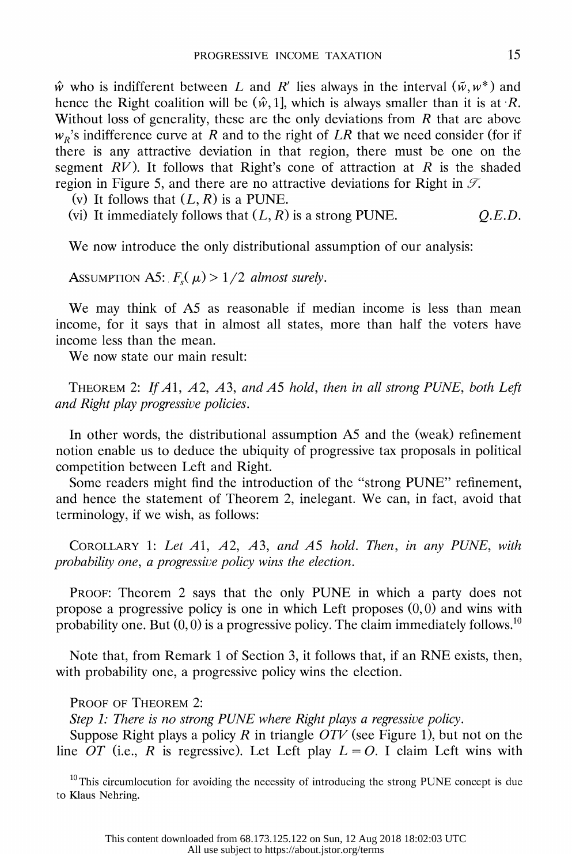$\hat{w}$  who is indifferent between L and R' lies always in the interval  $(\tilde{w}, w^*)$  and hence the Right coalition will be  $(\hat{w}, 1]$ , which is always smaller than it is at R. Without loss of generality, these are the only deviations from  $R$  that are above  $w_R$ 's indifference curve at R and to the right of LR that we need consider (for if there is any attractive deviation in that region, there must be one on the segment  $RV$ ). It follows that Right's cone of attraction at R is the shaded region in Figure 5, and there are no attractive deviations for Right in  $\mathcal{T}$ .

(v) It follows that  $(L, R)$  is a PUNE.

(vi) It immediately follows that  $(L, R)$  is a strong PUNE.  $Q.E.D.$ 

We now introduce the only distributional assumption of our analysis:

ASSUMPTION A5:  $F_s(\mu) > 1/2$  almost surely.

We may think of A5 as reasonable if median income is less than mean income, for it says that in almost all states, more than half the voters have income less than the mean.

We now state our main result:

THEOREM 2: If  $A1$ ,  $A2$ ,  $A3$ , and  $A5$  hold, then in all strong PUNE, both Left and Right play progressive policies.

 In other words, the distributional assumption AS and the (weak) refinement notion enable us to deduce the ubiquity of progressive tax proposals in political competition between Left and Right.

 Some readers might find the introduction of the "strong PUNE" refinement, and hence the statement of Theorem 2, inelegant. We can, in fact, avoid that terminology, if we wish, as follows:

 COROLLARY 1: Let Al, A2, A3, and AS hold. Then, in any PUNE, with probability one, a progressive policy wins the election.

 PROOF: Theorem 2 says that the only PUNE in which a party does not propose a progressive policy is one in which Left proposes  $(0,0)$  and wins with probability one. But  $(0, 0)$  is a progressive policy. The claim immediately follows.<sup>10</sup>

 Note that, from Remark 1 of Section 3, it follows that, if an RNE exists, then, with probability one, a progressive policy wins the election.

PROOF OF THEOREM 2:

Step 1: There is no strong PUNE where Right plays a regressive policy.

Suppose Right plays a policy R in triangle  $\overrightarrow{OTV}$  (see Figure 1), but not on the line OT (i.e., R is regressive). Let Left play  $L = 0$ . I claim Left wins with

 $10$ This circumlocution for avoiding the necessity of introducing the strong PUNE concept is due to Klaus Nehring.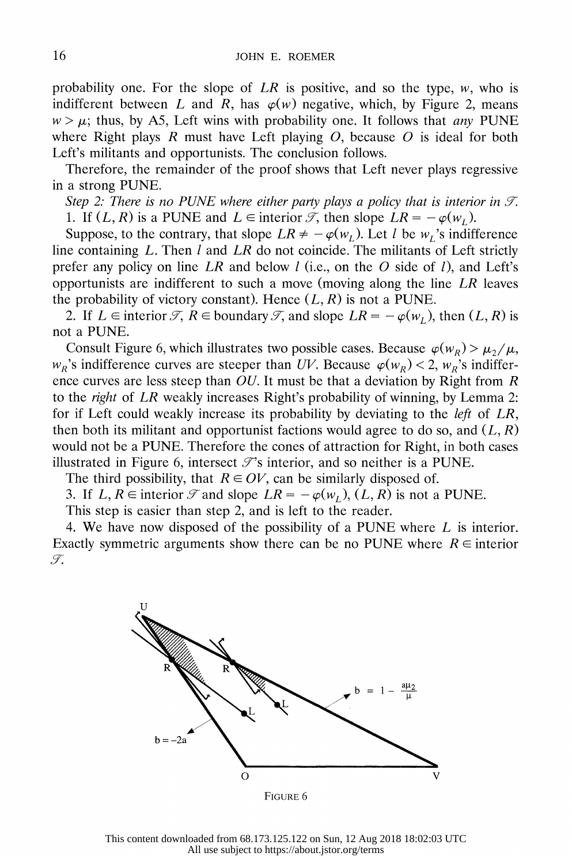probability one. For the slope of  $LR$  is positive, and so the type, w, who is indifferent between L and R, has  $\varphi(w)$  negative, which, by Figure 2, means  $w > \mu$ ; thus, by A5, Left wins with probability one. It follows that any PUNE where Right plays R must have Left playing  $O$ , because  $O$  is ideal for both Left's militants and opportunists. The conclusion follows.

 Therefore, the remainder of the proof shows that Left never plays regressive in a strong PUNE.

Step 2: There is no PUNE where either party plays a policy that is interior in  $\mathcal{T}$ . 1. If  $(L, R)$  is a PUNE and  $L \in$  interior  $\mathscr{T}$ , then slope  $LR = -\varphi(w_t)$ .

Suppose, to the contrary, that slope  $LR \neq -\varphi(w_l)$ . Let *l* be  $w_l$ 's indifference line containing  $L$ . Then  $l$  and  $LR$  do not coincide. The militants of Left strictly prefer any policy on line LR and below  $l$  (i.e., on the O side of  $l$ ), and Left's opportunists are indifferent to such a move (moving along the line LR leaves the probability of victory constant). Hence  $(L, R)$  is not a PUNE.

2. If  $L \in$  interior  $\mathcal{T}, R \in$  boundary  $\mathcal{T},$  and slope  $LR = -\varphi(w_L)$ , then  $(L, R)$  is not a PUNE.

Consult Figure 6, which illustrates two possible cases. Because  $\varphi(w_R) > \mu_2/\mu$ ,  $w_R$ 's indifference curves are steeper than UV. Because  $\varphi(w_R) < 2$ ,  $w_R$ 's indifference curves are less steep than  $OU$ . It must be that a deviation by Right from R to the right of LR weakly increases Right's probability of winning, by Lemma 2: for if Left could weakly increase its probability by deviating to the left of LR, then both its militant and opportunist factions would agree to do so, and  $(L, R)$  would not be a PUNE. Therefore the cones of attraction for Right, in both cases illustrated in Figure 6, intersect  $\mathcal{T}$ 's interior, and so neither is a PUNE.

The third possibility, that  $R \in OV$ , can be similarly disposed of.

3. If  $L, R \in$  interior  $\mathcal{T}$  and slope  $LR = -\varphi(w_L), (L, R)$  is not a PUNE.

This step is easier than step 2, and is left to the reader.

 4. We have now disposed of the possibility of a PUNE where L is interior. Exactly symmetric arguments show there can be no PUNE where  $R \in$  interior  $\mathcal{T}$ .

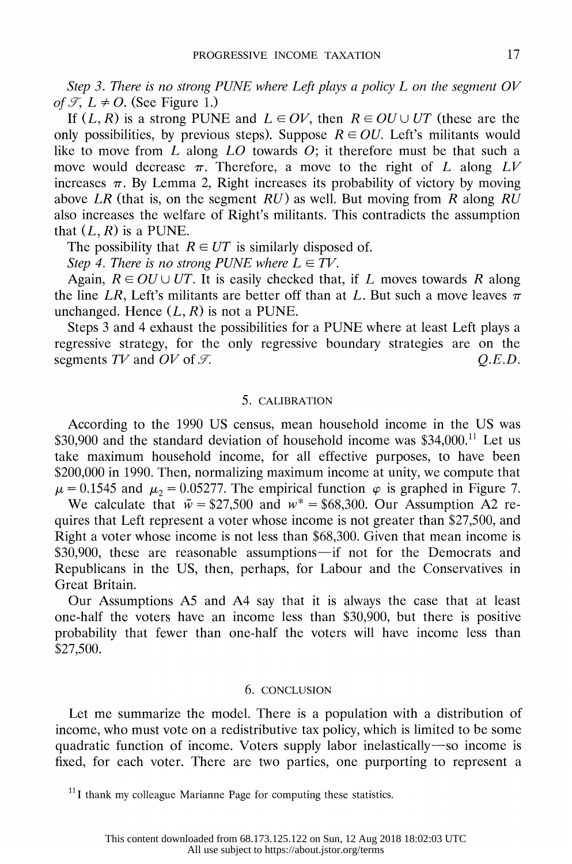Step 3. There is no strong PUNE where Left plays a policy  $L$  on the segment  $OV$ of  $\mathcal{T}$ ,  $L \neq O$ . (See Figure 1.)

If  $(L, R)$  is a strong PUNE and  $L \in OV$ , then  $R \in OU \cup UT$  (these are the only possibilities, by previous steps). Suppose  $R \in OU$ . Left's militants would like to move from  $\overline{L}$  along  $\overline{LO}$  towards  $\overline{O}$ ; it therefore must be that such a move would decrease  $\pi$ . Therefore, a move to the right of L along LV increases  $\pi$ . By Lemma 2, Right increases its probability of victory by moving above LR (that is, on the segment RU) as well. But moving from R along  $R\overline{U}$  also increases the welfare of Right's militants. This contradicts the assumption that  $(L, R)$  is a PUNE.

The possibility that  $R \in UT$  is similarly disposed of.

Step 4. There is no strong PUNE where  $L \in TV$ .

Again,  $R \in OU \cup UT$ . It is easily checked that, if L moves towards R along the line LR, Left's militants are better off than at L. But such a move leaves  $\overline{\pi}$ unchanged. Hence  $(L, R)$  is not a PUNE.

 Steps 3 and 4 exhaust the possibilities for a PUNE where at least Left plays a regressive strategy, for the only regressive boundary strategies are on the segments TV and OV of  $\mathcal{T}$ . Q.E.D.

#### 5. CALIBRATION

 According to the 1990 US census, mean household income in the US was  $$30,900$  and the standard deviation of household income was  $$34,000$ .<sup>11</sup> Let us take maximum household income, for all effective purposes, to have been \$200,000 in 1990. Then, normalizing maximum income at unity, we compute that  $\mu$  = 0.1545 and  $\mu_2$  = 0.05277. The empirical function  $\varphi$  is graphed in Figure 7. We calculate that  $\tilde{w} = $27,500$  and  $w^* = $68,300$ . Our Assumption A2 re-

 quires that Left represent a voter whose income is not greater than \$27,500, and Right a voter whose income is not less than \$68,300. Given that mean income is  $$30,900$ , these are reasonable assumptions if not for the Democrats and Republicans in the US, then, perhaps, for Labour and the Conservatives in Great Britain.

 Our Assumptions A5 and A4 say that it is always the case that at least one-half the voters have an income less than \$30,900, but there is positive probability that fewer than one-half the voters will have income less than \$27,500.

#### 6. CONCLUSION

 Let me summarize the model. There is a population with a distribution of income, who must vote on a redistributive tax policy, which is limited to be some quadratic function of income. Voters supply labor inelastically-so income is fixed, for each voter. There are two parties, one purporting to represent a

 $11$  I thank my colleague Marianne Page for computing these statistics.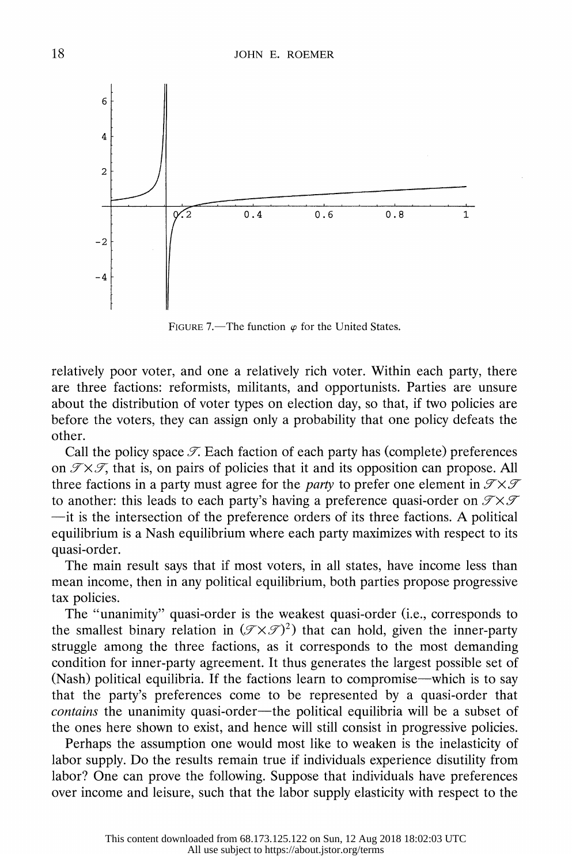

FIGURE 7.—The function  $\varphi$  for the United States.

 relatively poor voter, and one a relatively rich voter. Within each party, there are three factions: reformists, militants, and opportunists. Parties are unsure about the distribution of voter types on election day, so that, if two policies are before the voters, they can assign only a probability that one policy defeats the other.

Call the policy space  $\mathcal{T}$ . Each faction of each party has (complete) preferences on  $\mathcal{T} \times \mathcal{T}$ , that is, on pairs of policies that it and its opposition can propose. All three factions in a party must agree for the *party* to prefer one element in  $\mathcal{T} \times \mathcal{T}$ to another: this leads to each party's having a preference quasi-order on  $\mathcal{T} \times \mathcal{T}$  -it is the intersection of the preference orders of its three factions. A political equilibrium is a Nash equilibrium where each party maximizes with respect to its quasi-order.

 The main result says that if most voters, in all states, have income less than mean income, then in any political equilibrium, both parties propose progressive tax policies.

 The "unanimity" quasi-order is the weakest quasi-order (i.e., corresponds to the smallest binary relation in  $(\mathcal{T} \times \mathcal{T})^2$ ) that can hold, given the inner-party struggle among the three factions, as it corresponds to the most demanding condition for inner-party agreement. It thus generates the largest possible set of (Nash) political equilibria. If the factions learn to compromise—which is to say that the party's preferences come to be represented by a quasi-order that contains the unanimity quasi-order-the political equilibria will be a subset of the ones here shown to exist, and hence will still consist in progressive policies.

 Perhaps the assumption one would most like to weaken is the inelasticity of labor supply. Do the results remain true if individuals experience disutility from labor? One can prove the following. Suppose that individuals have preferences over income and leisure, such that the labor supply elasticity with respect to the